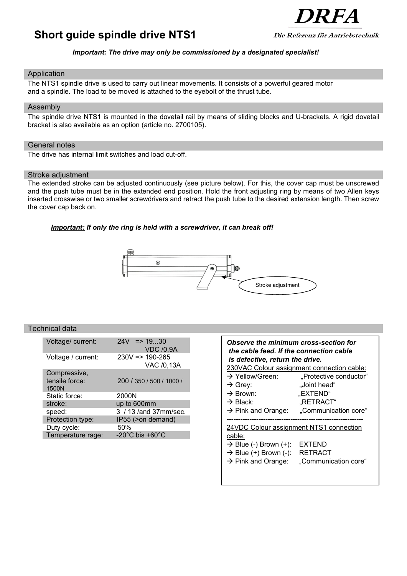# **Short guide spindle drive NTS1**



# *Important: The drive may only be commissioned by a designated specialist!*

### Application

The NTS1 spindle drive is used to carry out linear movements. It consists of a powerful geared motor and a spindle. The load to be moved is attached to the eyebolt of the thrust tube.

#### Assembly

The spindle drive NTS1 is mounted in the dovetail rail by means of sliding blocks and U-brackets. A rigid dovetail bracket is also available as an option (article no. 2700105).

# General notes

The drive has internal limit switches and load cut-off.

#### Stroke adjustment

The extended stroke can be adjusted continuously (see picture below). For this, the cover cap must be unscrewed and the push tube must be in the extended end position. Hold the front adjusting ring by means of two Allen keys inserted crosswise or two smaller screwdrivers and retract the push tube to the desired extension length. Then screw the cover cap back on.

# *Important: If only the ring is held with a screwdriver, it can break off!*



# Technical data

| Voltage/ current:       | $24V \Rightarrow 1930$<br><b>VDC /0,9A</b> |
|-------------------------|--------------------------------------------|
| Voltage / current:      | $230V \approx 190-265$<br>VAC /0,13A       |
| Compressive,            |                                            |
| tensile force:<br>1500N | 200 / 350 / 500 / 1000 /                   |
| Static force:           | 2000N                                      |
| stroke:                 | up to 600mm                                |
| speed:                  | 3 / 13 / and 37mm/sec.                     |
| Protection type:        | IP55 (>on demand)                          |
| Duty cycle:             | 50%                                        |
| Temperature rage:       | -20 $^{\circ}$ C bis +60 $^{\circ}$ C      |

| Observe the minimum cross-section for<br>the cable feed. If the connection cable<br>is defective, return the drive. |                                                  |  |
|---------------------------------------------------------------------------------------------------------------------|--------------------------------------------------|--|
|                                                                                                                     | 230VAC Colour assignment connection cable:       |  |
| $\rightarrow$ Yellow/Green:                                                                                         | "Protective conductor"                           |  |
| $\rightarrow$ Grey:                                                                                                 | "Joint head"                                     |  |
| $\rightarrow$ Brown:                                                                                                | "EXTEND"                                         |  |
| → Black:                                                                                                            | "RETRACT"                                        |  |
| $\rightarrow$ Pink and Orange:                                                                                      | "Communication core"                             |  |
| 24VDC Colour assignment NTS1 connection                                                                             |                                                  |  |
| cable:<br>$\rightarrow$ Blue (-) Brown (+):<br>$\rightarrow$ Blue (+) Brown (-):<br>$\rightarrow$ Pink and Orange:  | EXTEND<br><b>RETRACT</b><br>"Communication core" |  |